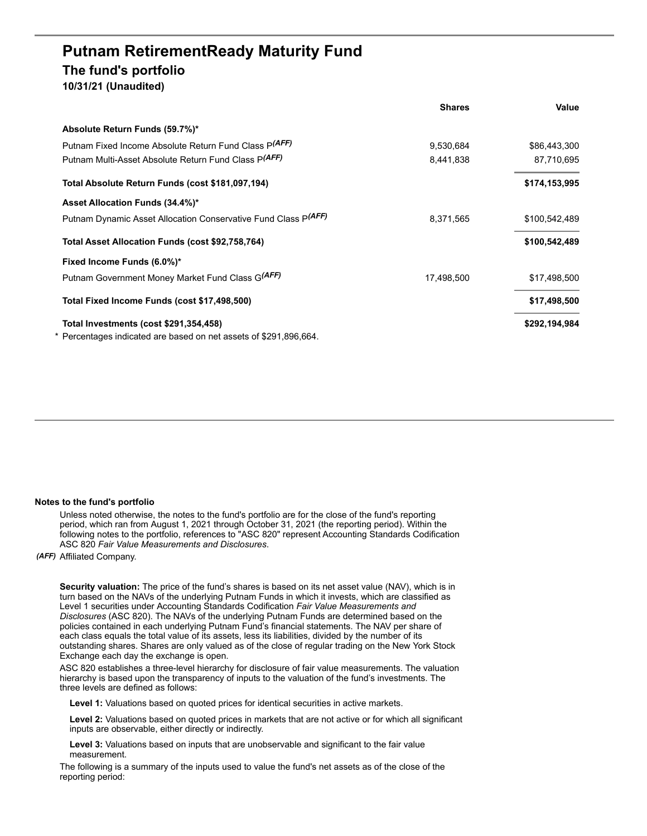## **Putnam RetirementReady Maturity Fund The fund's portfolio**

**10/31/21 (Unaudited)**

|                                                                                                             | <b>Shares</b> | Value         |
|-------------------------------------------------------------------------------------------------------------|---------------|---------------|
| Absolute Return Funds (59.7%)*                                                                              |               |               |
| Putnam Fixed Income Absolute Return Fund Class P(AFF)                                                       | 9,530,684     | \$86,443,300  |
| Putnam Multi-Asset Absolute Return Fund Class P(AFF)                                                        | 8,441,838     | 87,710,695    |
| Total Absolute Return Funds (cost \$181,097,194)                                                            |               | \$174,153,995 |
| Asset Allocation Funds (34.4%)*                                                                             |               |               |
| Putnam Dynamic Asset Allocation Conservative Fund Class P(AFF)                                              | 8,371,565     | \$100,542,489 |
| Total Asset Allocation Funds (cost \$92,758,764)                                                            |               | \$100,542,489 |
| Fixed Income Funds (6.0%)*                                                                                  |               |               |
| Putnam Government Money Market Fund Class G(AFF)                                                            | 17,498,500    | \$17,498,500  |
| Total Fixed Income Funds (cost \$17,498,500)                                                                |               | \$17,498,500  |
| Total Investments (cost \$291,354,458)<br>* Percentages indicated are based on net assets of \$291,896,664. |               | \$292,194,984 |
|                                                                                                             |               |               |

## **Notes to the fund's portfolio**

Unless noted otherwise, the notes to the fund's portfolio are for the close of the fund's reporting period, which ran from August 1, 2021 through October 31, 2021 (the reporting period). Within the following notes to the portfolio, references to "ASC 820" represent Accounting Standards Codification ASC 820 *Fair Value Measurements and Disclosures*.

*(AFF)* Affiliated Company.

**Security valuation:** The price of the fund's shares is based on its net asset value (NAV), which is in turn based on the NAVs of the underlying Putnam Funds in which it invests, which are classified as Level 1 securities under Accounting Standards Codification *Fair Value Measurements and Disclosures* (ASC 820). The NAVs of the underlying Putnam Funds are determined based on the policies contained in each underlying Putnam Fund's financial statements. The NAV per share of each class equals the total value of its assets, less its liabilities, divided by the number of its outstanding shares. Shares are only valued as of the close of regular trading on the New York Stock Exchange each day the exchange is open.

ASC 820 establishes a three-level hierarchy for disclosure of fair value measurements. The valuation hierarchy is based upon the transparency of inputs to the valuation of the fund's investments. The three levels are defined as follows:

**Level 1:** Valuations based on quoted prices for identical securities in active markets.

**Level 2:** Valuations based on quoted prices in markets that are not active or for which all significant inputs are observable, either directly or indirectly.

**Level 3:** Valuations based on inputs that are unobservable and significant to the fair value measurement.

The following is a summary of the inputs used to value the fund's net assets as of the close of the reporting period: